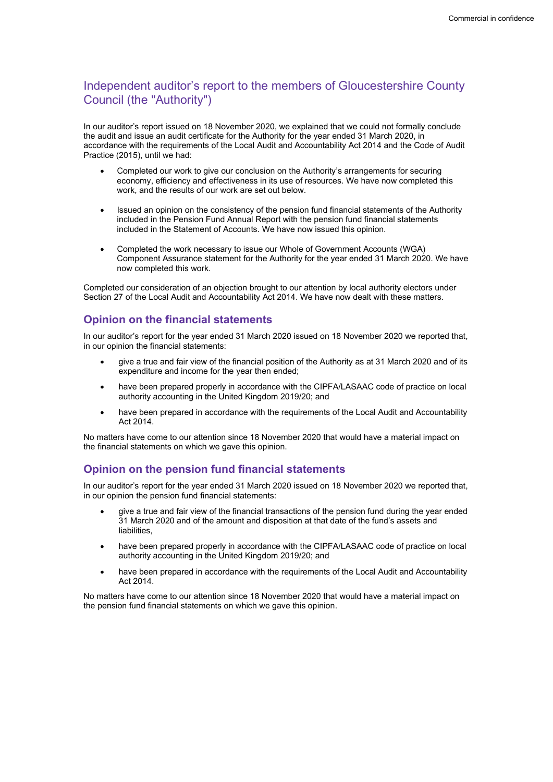# Independent auditor's report to the members of Gloucestershire County Council (the "Authority")

In our auditor's report issued on 18 November 2020, we explained that we could not formally conclude the audit and issue an audit certificate for the Authority for the year ended 31 March 2020, in accordance with the requirements of the Local Audit and Accountability Act 2014 and the Code of Audit Practice (2015), until we had:

- Completed our work to give our conclusion on the Authority's arrangements for securing economy, efficiency and effectiveness in its use of resources. We have now completed this work, and the results of our work are set out below.
- Issued an opinion on the consistency of the pension fund financial statements of the Authority included in the Pension Fund Annual Report with the pension fund financial statements included in the Statement of Accounts. We have now issued this opinion.
- Completed the work necessary to issue our Whole of Government Accounts (WGA) Component Assurance statement for the Authority for the year ended 31 March 2020. We have now completed this work.

Completed our consideration of an objection brought to our attention by local authority electors under Section 27 of the Local Audit and Accountability Act 2014. We have now dealt with these matters.

## Opinion on the financial statements

In our auditor's report for the year ended 31 March 2020 issued on 18 November 2020 we reported that, in our opinion the financial statements:

- give a true and fair view of the financial position of the Authority as at 31 March 2020 and of its expenditure and income for the year then ended;
- have been prepared properly in accordance with the CIPFA/LASAAC code of practice on local authority accounting in the United Kingdom 2019/20; and
- have been prepared in accordance with the requirements of the Local Audit and Accountability Act 2014.

No matters have come to our attention since 18 November 2020 that would have a material impact on the financial statements on which we gave this opinion.

### Opinion on the pension fund financial statements

In our auditor's report for the year ended 31 March 2020 issued on 18 November 2020 we reported that, in our opinion the pension fund financial statements:

- give a true and fair view of the financial transactions of the pension fund during the year ended 31 March 2020 and of the amount and disposition at that date of the fund's assets and liabilities,
- have been prepared properly in accordance with the CIPFA/LASAAC code of practice on local authority accounting in the United Kingdom 2019/20; and
- have been prepared in accordance with the requirements of the Local Audit and Accountability Act 2014.

No matters have come to our attention since 18 November 2020 that would have a material impact on the pension fund financial statements on which we gave this opinion.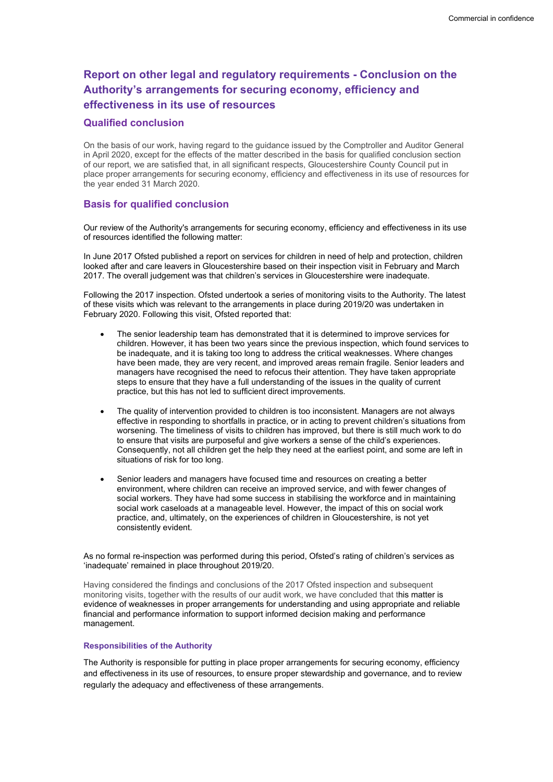# Report on other legal and regulatory requirements - Conclusion on the Authority's arrangements for securing economy, efficiency and effectiveness in its use of resources

#### Qualified conclusion

On the basis of our work, having regard to the guidance issued by the Comptroller and Auditor General in April 2020, except for the effects of the matter described in the basis for qualified conclusion section of our report, we are satisfied that, in all significant respects, Gloucestershire County Council put in place proper arrangements for securing economy, efficiency and effectiveness in its use of resources for the year ended 31 March 2020.

### Basis for qualified conclusion

Our review of the Authority's arrangements for securing economy, efficiency and effectiveness in its use of resources identified the following matter:

In June 2017 Ofsted published a report on services for children in need of help and protection, children looked after and care leavers in Gloucestershire based on their inspection visit in February and March 2017. The overall judgement was that children's services in Gloucestershire were inadequate.

Following the 2017 inspection. Ofsted undertook a series of monitoring visits to the Authority. The latest of these visits which was relevant to the arrangements in place during 2019/20 was undertaken in February 2020. Following this visit, Ofsted reported that:

- The senior leadership team has demonstrated that it is determined to improve services for children. However, it has been two years since the previous inspection, which found services to be inadequate, and it is taking too long to address the critical weaknesses. Where changes have been made, they are very recent, and improved areas remain fragile. Senior leaders and managers have recognised the need to refocus their attention. They have taken appropriate steps to ensure that they have a full understanding of the issues in the quality of current practice, but this has not led to sufficient direct improvements.
- The quality of intervention provided to children is too inconsistent. Managers are not always effective in responding to shortfalls in practice, or in acting to prevent children's situations from worsening. The timeliness of visits to children has improved, but there is still much work to do to ensure that visits are purposeful and give workers a sense of the child's experiences. Consequently, not all children get the help they need at the earliest point, and some are left in situations of risk for too long.
- Senior leaders and managers have focused time and resources on creating a better environment, where children can receive an improved service, and with fewer changes of social workers. They have had some success in stabilising the workforce and in maintaining social work caseloads at a manageable level. However, the impact of this on social work practice, and, ultimately, on the experiences of children in Gloucestershire, is not yet consistently evident.

As no formal re-inspection was performed during this period, Ofsted's rating of children's services as 'inadequate' remained in place throughout 2019/20.

Having considered the findings and conclusions of the 2017 Ofsted inspection and subsequent monitoring visits, together with the results of our audit work, we have concluded that this matter is evidence of weaknesses in proper arrangements for understanding and using appropriate and reliable financial and performance information to support informed decision making and performance management.

#### Responsibilities of the Authority

The Authority is responsible for putting in place proper arrangements for securing economy, efficiency and effectiveness in its use of resources, to ensure proper stewardship and governance, and to review regularly the adequacy and effectiveness of these arrangements.